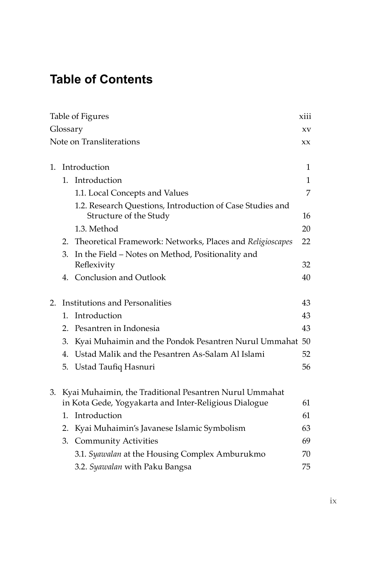## **Table of Contents**

| Table of Figures<br>xiii        |                                                       |                                                                                     |              |  |
|---------------------------------|-------------------------------------------------------|-------------------------------------------------------------------------------------|--------------|--|
| Glossary                        |                                                       |                                                                                     |              |  |
| Note on Transliterations<br>XX. |                                                       |                                                                                     |              |  |
|                                 |                                                       |                                                                                     |              |  |
| 1.                              |                                                       | Introduction                                                                        | $\mathbf{1}$ |  |
|                                 | $1_{-}$                                               | Introduction                                                                        | $\mathbf{1}$ |  |
|                                 |                                                       | 1.1. Local Concepts and Values                                                      | 7            |  |
|                                 |                                                       | 1.2. Research Questions, Introduction of Case Studies and<br>Structure of the Study | 16           |  |
|                                 |                                                       | 1.3. Method                                                                         | 20           |  |
|                                 | 2.                                                    | Theoretical Framework: Networks, Places and Religioscapes                           | 22           |  |
|                                 | 3.                                                    | In the Field - Notes on Method, Positionality and<br>Reflexivity                    | 32           |  |
|                                 |                                                       | 4. Conclusion and Outlook                                                           | 40           |  |
| 2.                              |                                                       | Institutions and Personalities                                                      | 43           |  |
|                                 | $\mathbf{1}_{\cdot}$                                  | Introduction                                                                        | 43           |  |
|                                 | 2.                                                    | Pesantren in Indonesia                                                              | 43           |  |
|                                 | 3.                                                    | Kyai Muhaimin and the Pondok Pesantren Nurul Ummahat 50                             |              |  |
|                                 | 4.                                                    | Ustad Malik and the Pesantren As-Salam Al Islami                                    | 52           |  |
|                                 |                                                       | 5. Ustad Taufiq Hasnuri                                                             | 56           |  |
| 3.                              |                                                       | Kyai Muhaimin, the Traditional Pesantren Nurul Ummahat                              |              |  |
|                                 | in Kota Gede, Yogyakarta and Inter-Religious Dialogue |                                                                                     | 61           |  |
|                                 | 1.                                                    | Introduction                                                                        | 61           |  |
|                                 | 2.                                                    | Kyai Muhaimin's Javanese Islamic Symbolism                                          | 63           |  |
|                                 | 3.                                                    | <b>Community Activities</b>                                                         | 69           |  |
|                                 |                                                       | 3.1. Syawalan at the Housing Complex Amburukmo                                      | 70           |  |
|                                 |                                                       | 3.2. Syawalan with Paku Bangsa                                                      | 75           |  |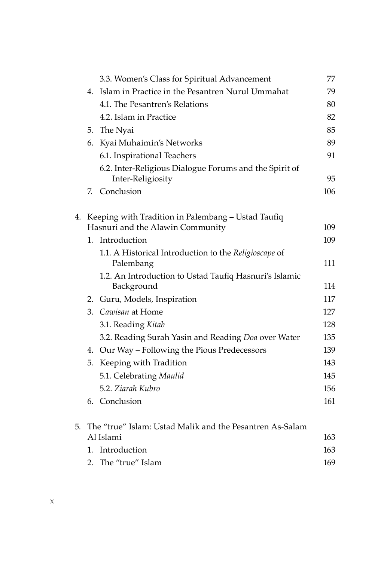|    |                                                          | 3.3. Women's Class for Spiritual Advancement                                | 77  |
|----|----------------------------------------------------------|-----------------------------------------------------------------------------|-----|
|    |                                                          | 4. Islam in Practice in the Pesantren Nurul Ummahat                         | 79  |
|    |                                                          | 4.1. The Pesantren's Relations                                              | 80  |
|    |                                                          | 4.2. Islam in Practice                                                      | 82  |
|    |                                                          | 5. The Nyai                                                                 | 85  |
|    | 6.                                                       | Kyai Muhaimin's Networks                                                    | 89  |
|    |                                                          | 6.1. Inspirational Teachers                                                 | 91  |
|    |                                                          | 6.2. Inter-Religious Dialogue Forums and the Spirit of<br>Inter-Religiosity | 95  |
|    | 7.                                                       | Conclusion                                                                  | 106 |
|    |                                                          |                                                                             |     |
| 4. |                                                          | Keeping with Tradition in Palembang - Ustad Taufiq                          |     |
|    |                                                          | Hasnuri and the Alawin Community                                            | 109 |
|    | 1.                                                       | Introduction                                                                | 109 |
|    |                                                          | 1.1. A Historical Introduction to the Religioscape of<br>Palembang          | 111 |
|    |                                                          | 1.2. An Introduction to Ustad Taufiq Hasnuri's Islamic<br>Background        | 114 |
|    |                                                          | 2. Guru, Models, Inspiration                                                | 117 |
|    |                                                          | 3. Cawisan at Home                                                          | 127 |
|    |                                                          | 3.1. Reading Kitab                                                          | 128 |
|    |                                                          | 3.2. Reading Surah Yasin and Reading Doa over Water                         | 135 |
|    |                                                          | 4. Our Way - Following the Pious Predecessors                               | 139 |
|    | 5.                                                       | Keeping with Tradition                                                      | 143 |
|    |                                                          | 5.1. Celebrating Maulid                                                     | 145 |
|    |                                                          | 5.2. Ziarah Kubro                                                           | 156 |
|    |                                                          | 6. Conclusion                                                               | 161 |
| 5. | The "true" Islam: Ustad Malik and the Pesantren As-Salam |                                                                             |     |
|    |                                                          | Al Islami                                                                   | 163 |
|    | 1.                                                       | Introduction                                                                | 163 |
|    |                                                          | 2. The "true" Islam                                                         | 169 |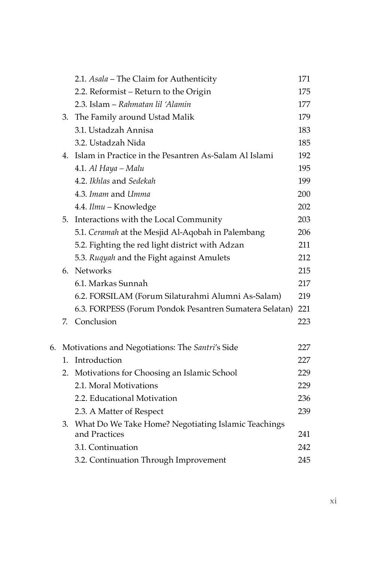|    |    | 2.1. Asala - The Claim for Authenticity                | 171 |
|----|----|--------------------------------------------------------|-----|
|    |    | 2.2. Reformist - Return to the Origin                  | 175 |
|    |    | 2.3. Islam - Rahmatan lil 'Alamin                      | 177 |
|    |    | 3. The Family around Ustad Malik                       | 179 |
|    |    | 3.1. Ustadzah Annisa                                   | 183 |
|    |    | 3.2. Ustadzah Nida                                     | 185 |
|    | 4. | Islam in Practice in the Pesantren As-Salam Al Islami  | 192 |
|    |    | 4.1. Al Haya - Malu                                    | 195 |
|    |    | 4.2. Ikhlas and Sedekah                                | 199 |
|    |    | 4.3. Imam and Umma                                     | 200 |
|    |    | 4.4. Ilmu - Knowledge                                  | 202 |
|    | 5. | Interactions with the Local Community                  | 203 |
|    |    | 5.1. Ceramah at the Mesjid Al-Aqobah in Palembang      | 206 |
|    |    | 5.2. Fighting the red light district with Adzan        | 211 |
|    |    | 5.3. Ruqyah and the Fight against Amulets              | 212 |
|    | 6. | <b>Networks</b>                                        | 215 |
|    |    | 6.1. Markas Sunnah                                     | 217 |
|    |    | 6.2. FORSILAM (Forum Silaturahmi Alumni As-Salam)      | 219 |
|    |    | 6.3. FORPESS (Forum Pondok Pesantren Sumatera Selatan) | 221 |
|    | 7. | Conclusion                                             | 223 |
| 6. |    | Motivations and Negotiations: The Santri's Side        | 227 |
|    | 1. | Introduction                                           | 227 |
|    | 2. | Motivations for Choosing an Islamic School             | 229 |
|    |    | 2.1. Moral Motivations                                 | 229 |
|    |    | 2.2. Educational Motivation                            | 236 |
|    |    | 2.3. A Matter of Respect                               | 239 |
|    | 3. | What Do We Take Home? Negotiating Islamic Teachings    |     |
|    |    | and Practices                                          | 241 |
|    |    | 3.1. Continuation                                      | 242 |
|    |    | 3.2. Continuation Through Improvement                  | 245 |